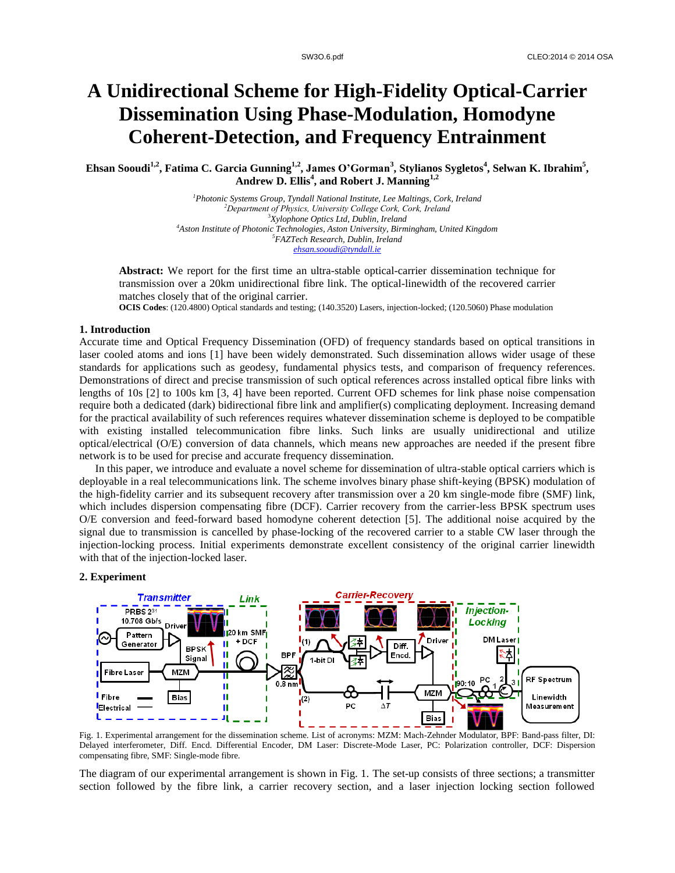# **A Unidirectional Scheme for High-Fidelity Optical-Carrier Dissemination Using Phase-Modulation, Homodyne Coherent-Detection, and Frequency Entrainment**

**Ehsan Sooudi1,2 , Fatima C. Garcia Gunning1,2 , James O'Gorman<sup>3</sup> , Stylianos Sygletos<sup>4</sup> , Selwan K. Ibrahim<sup>5</sup> , Andrew D. Ellis<sup>4</sup> , and Robert J. Manning1,2**

> *Photonic Systems Group, Tyndall National Institute, Lee Maltings, Cork, Ireland Department of Physics, University College Cork, Cork, Ireland Xylophone Optics Ltd, Dublin, Ireland Aston Institute of Photonic Technologies, Aston University, Birmingham, United Kingdom FAZTech Research, Dublin, Ireland ehsan.sooudi@tyndall.ie*

**Abstract:** We report for the first time an ultra-stable optical-carrier dissemination technique for transmission over a 20km unidirectional fibre link. The optical-linewidth of the recovered carrier matches closely that of the original carrier.

**OCIS Codes**: (120.4800) Optical standards and testing; (140.3520) Lasers, injection-locked; (120.5060) Phase modulation

## **1. Introduction**

Accurate time and Optical Frequency Dissemination (OFD) of frequency standards based on optical transitions in laser cooled atoms and ions [1] have been widely demonstrated. Such dissemination allows wider usage of these standards for applications such as geodesy, fundamental physics tests, and comparison of frequency references. Demonstrations of direct and precise transmission of such optical references across installed optical fibre links with lengths of 10s [2] to 100s km [3, 4] have been reported. Current OFD schemes for link phase noise compensation require both a dedicated (dark) bidirectional fibre link and amplifier(s) complicating deployment. Increasing demand for the practical availability of such references requires whatever dissemination scheme is deployed to be compatible with existing installed telecommunication fibre links. Such links are usually unidirectional and utilize optical/electrical (O/E) conversion of data channels, which means new approaches are needed if the present fibre network is to be used for precise and accurate frequency dissemination.

In this paper, we introduce and evaluate a novel scheme for dissemination of ultra-stable optical carriers which is deployable in a real telecommunications link. The scheme involves binary phase shift-keying (BPSK) modulation of the high-fidelity carrier and its subsequent recovery after transmission over a 20 km single-mode fibre (SMF) link, which includes dispersion compensating fibre (DCF). Carrier recovery from the carrier-less BPSK spectrum uses O/E conversion and feed-forward based homodyne coherent detection [5]. The additional noise acquired by the signal due to transmission is cancelled by phase-locking of the recovered carrier to a stable CW laser through the injection-locking process. Initial experiments demonstrate excellent consistency of the original carrier linewidth with that of the injection-locked laser.

## **2. Experiment**



Fig. 1. Experimental arrangement for the dissemination scheme. List of acronyms: MZM: Mach-Zehnder Modulator, BPF: Band-pass filter, DI: Delayed interferometer, Diff. Encd. Differential Encoder, DM Laser: Discrete-Mode Laser, PC: Polarization controller, DCF: Dispersion compensating fibre, SMF: Single-mode fibre.

The diagram of our experimental arrangement is shown in Fig. 1. The set-up consists of three sections; a transmitter section followed by the fibre link, a carrier recovery section, and a laser injection locking section followed